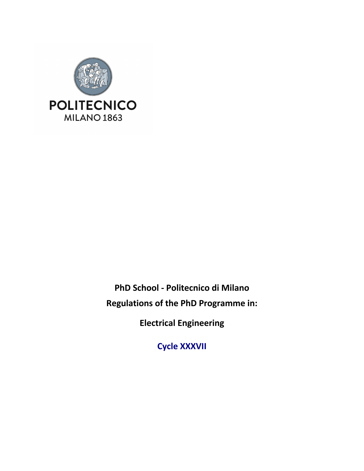

**PhD School - Politecnico di Milano Regulations of the PhD Programme in:**

**Electrical Engineering**

**Cycle XXXVII**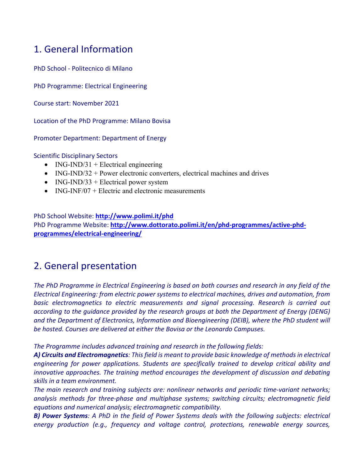## 1. General Information

PhD School - Politecnico di Milano

PhD Programme: Electrical Engineering

Course start: November 2021

Location of the PhD Programme: Milano Bovisa

Promoter Department: Department of Energy

Scientific Disciplinary Sectors

- ING-IND/31 + Electrical engineering
- ING-IND/32 + Power electronic converters, electrical machines and drives
- ING-IND/33 + Electrical power system
- ING-INF/07 + Electric and electronic measurements

PhD School Website: **http://www.polimi.it/phd** PhD Programme Website: **http://www.dottorato.polimi.it/en/phd-programmes/active-phdprogrammes/electrical-engineering/**

## 2. General presentation

*The PhD Programme in Electrical Engineering is based on both courses and research in any field of the Electrical Engineering: from electric power systems to electrical machines, drives and automation, from basic electromagnetics to electric measurements and signal processing. Research is carried out according to the guidance provided by the research groups at both the Department of Energy (DENG) and the Department of Electronics, Information and Bioengineering (DEIB), where the PhD student will be hosted. Courses are delivered at either the Bovisa or the Leonardo Campuses.*

*The Programme includes advanced training and research in the following fields:*

*A) Circuits and Electromagnetics: This field is meant to provide basic knowledge of methods in electrical engineering for power applications. Students are specifically trained to develop critical ability and*  innovative approaches. The training method encourages the development of discussion and debating *skills in a team environment.*

*The main research and training subjects are: nonlinear networks and periodic time-variant networks; analysis methods for three-phase and multiphase systems; switching circuits; electromagnetic field equations and numerical analysis; electromagnetic compatibility.*

*B) Power Systems: A PhD in the field of Power Systems deals with the following subjects: electrical energy production (e.g., frequency and voltage control, protections, renewable energy sources,*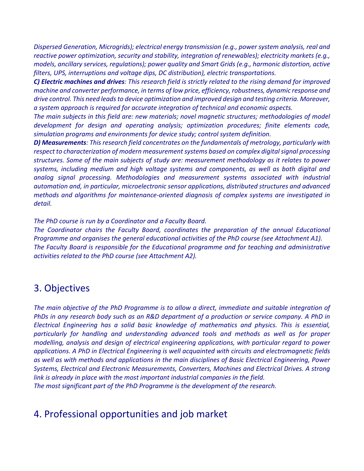*Dispersed Generation, Microgrids); electrical energy transmission (e.g., power system analysis, real and reactive power optimization, security and stability, integration of renewables); electricity markets (e.g., models, ancillary services, regulations); power quality and Smart Grids (e.g., harmonic distortion, active filters, UPS, interruptions and voltage dips, DC distribution), electric transportations.*

*C) Electric machines and drives: This research field is strictly related to the rising demand for improved machine and converter performance, in terms of low price, efficiency, robustness, dynamic response and drive control. This need leads to device optimization and improved design and testing criteria. Moreover, a system approach is required for accurate integration of technical and economic aspects.*

*The main subjects in this field are: new materials; novel magnetic structures; methodologies of model development for design and operating analysis; optimization procedures; finite elements code, simulation programs and environments for device study; control system definition.*

*D) Measurements: This research field concentrates on the fundamentals of metrology, particularly with respect to characterization of modern measurement systems based on complex digital signal processing structures. Some of the main subjects of study are: measurement methodology as it relates to power systems, including medium and high voltage systems and components, as well as both digital and analog signal processing. Methodologies and measurement systems associated with industrial automation and, in particular, microelectronic sensor applications, distributed structures and advanced methods and algorithms for maintenance-oriented diagnosis of complex systems are investigated in detail.*

*The PhD course is run by a Coordinator and a Faculty Board.* 

*The Coordinator chairs the Faculty Board, coordinates the preparation of the annual Educational Programme and organises the general educational activities of the PhD course (see Attachment A1). The Faculty Board is responsible for the Educational programme and for teaching and administrative activities related to the PhD course (see Attachment A2).*

### 3. Objectives

*The main objective of the PhD Programme is to allow a direct, immediate and suitable integration of PhDs in any research body such as an R&D department of a production or service company. A PhD in Electrical Engineering has a solid basic knowledge of mathematics and physics. This is essential, particularly for handling and understanding advanced tools and methods as well as for proper modelling, analysis and design of electrical engineering applications, with particular regard to power applications. A PhD in Electrical Engineering is well acquainted with circuits and electromagnetic fields as well as with methods and applications in the main disciplines of Basic Electrical Engineering, Power Systems, Electrical and Electronic Measurements, Converters, Machines and Electrical Drives. A strong link is already in place with the most important industrial companies in the field. The most significant part of the PhD Programme is the development of the research.*

## 4. Professional opportunities and job market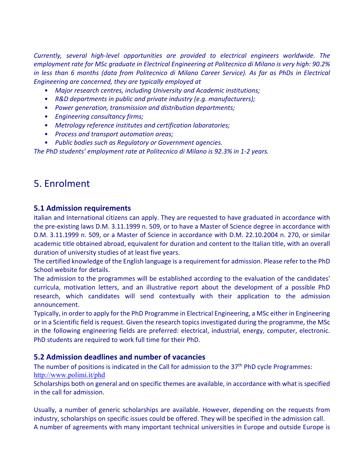*Currently, several high-level opportunities are provided to electrical engineers worldwide. The employment rate for MSc graduate in Electrical Engineering at Politecnico di Milano is very high: 90.2% in less than 6 months (data from Politecnico di Milano Career Service). As far as PhDs in Electrical Engineering are concerned, they are typically employed at*

- *Major research centres, including University and Academic institutions;*
- *R&D departments in public and private industry (e.g. manufacturers);*
- *Power generation, transmission and distribution departments;*
- *Engineering consultancy firms;*
- *Metrology reference institutes and certification laboratories;*
- *Process and transport automation areas;*
- *Public bodies such as Regulatory or Government agencies.*

*The PhD students' employment rate at Politecnico di Milano is 92.3% in 1-2 years.*

### 5. Enrolment

#### **5.1 Admission requirements**

Italian and International citizens can apply. They are requested to have graduated in accordance with the pre-existing laws D.M. 3.11.1999 n. 509, or to have a Master of Science degree in accordance with D.M. 3.11.1999 n. 509, or a Master of Science in accordance with D.M. 22.10.2004 n. 270, or similar academic title obtained abroad, equivalent for duration and content to the Italian title, with an overall duration of university studies of at least five years.

The certified knowledge of the English language is a requirement for admission. Please refer to the PhD School website for details.

The admission to the programmes will be established according to the evaluation of the candidates' curricula, motivation letters, and an illustrative report about the development of a possible PhD research, which candidates will send contextually with their application to the admission announcement.

Typically, in order to apply for the PhD Programme in Electrical Engineering, a MSc either in Engineering or in a Scientific field is request. Given the research topics investigated during the programme, the MSc in the following engineering fields are preferred: electrical, industrial, energy, computer, electronic. PhD students are required to work full time for their PhD.

#### **5.2 Admission deadlines and number of vacancies**

The number of positions is indicated in the Call for admission to the 37<sup>th</sup> PhD cycle Programmes: http://www.polimi.it/phd

Scholarships both on general and on specific themes are available, in accordance with what is specified in the call for admission.

Usually, a number of generic scholarships are available. However, depending on the requests from industry, scholarships on specific issues could be offered. They will be specified in the admission call. A number of agreements with many important technical universities in Europe and outside Europe is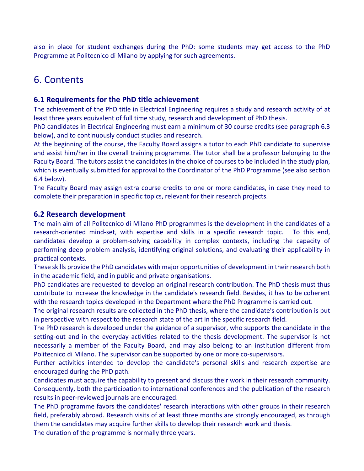also in place for student exchanges during the PhD: some students may get access to the PhD Programme at Politecnico di Milano by applying for such agreements.

## 6. Contents

#### **6.1 Requirements for the PhD title achievement**

The achievement of the PhD title in Electrical Engineering requires a study and research activity of at least three years equivalent of full time study, research and development of PhD thesis.

PhD candidates in Electrical Engineering must earn a minimum of 30 course credits (see paragraph 6.3 below), and to continuously conduct studies and research.

At the beginning of the course, the Faculty Board assigns a tutor to each PhD candidate to supervise and assist him/her in the overall training programme. The tutor shall be a professor belonging to the Faculty Board. The tutors assist the candidates in the choice of courses to be included in the study plan, which is eventually submitted for approval to the Coordinator of the PhD Programme (see also section 6.4 below).

The Faculty Board may assign extra course credits to one or more candidates, in case they need to complete their preparation in specific topics, relevant for their research projects.

#### **6.2 Research development**

The main aim of all Politecnico di Milano PhD programmes is the development in the candidates of a research-oriented mind-set, with expertise and skills in a specific research topic. To this end, candidates develop a problem-solving capability in complex contexts, including the capacity of performing deep problem analysis, identifying original solutions, and evaluating their applicability in practical contexts.

These skills provide the PhD candidates with major opportunities of development in their research both in the academic field, and in public and private organisations.

PhD candidates are requested to develop an original research contribution. The PhD thesis must thus contribute to increase the knowledge in the candidate's research field. Besides, it has to be coherent with the research topics developed in the Department where the PhD Programme is carried out.

The original research results are collected in the PhD thesis, where the candidate's contribution is put in perspective with respect to the research state of the art in the specific research field.

The PhD research is developed under the guidance of a supervisor, who supports the candidate in the setting-out and in the everyday activities related to the thesis development. The supervisor is not necessarily a member of the Faculty Board, and may also belong to an institution different from Politecnico di Milano. The supervisor can be supported by one or more co-supervisors.

Further activities intended to develop the candidate's personal skills and research expertise are encouraged during the PhD path.

Candidates must acquire the capability to present and discuss their work in their research community. Consequently, both the participation to international conferences and the publication of the research results in peer-reviewed journals are encouraged.

The PhD programme favors the candidates' research interactions with other groups in their research field, preferably abroad. Research visits of at least three months are strongly encouraged, as through them the candidates may acquire further skills to develop their research work and thesis.

The duration of the programme is normally three years.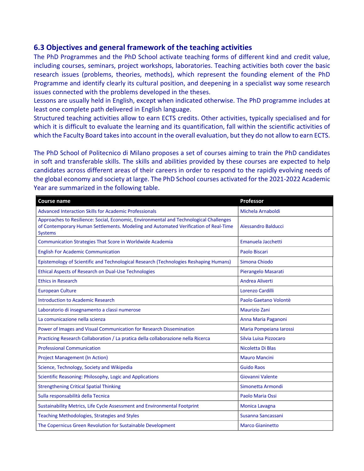#### **6.3 Objectives and general framework of the teaching activities**

The PhD Programmes and the PhD School activate teaching forms of different kind and credit value, including courses, seminars, project workshops, laboratories. Teaching activities both cover the basic research issues (problems, theories, methods), which represent the founding element of the PhD Programme and identify clearly its cultural position, and deepening in a specialist way some research issues connected with the problems developed in the theses.

Lessons are usually held in English, except when indicated otherwise. The PhD programme includes at least one complete path delivered in English language.

Structured teaching activities allow to earn ECTS credits. Other activities, typically specialised and for which it is difficult to evaluate the learning and its quantification, fall within the scientific activities of which the Faculty Board takes into account in the overall evaluation, but they do not allow to earn ECTS.

The PhD School of Politecnico di Milano proposes a set of courses aiming to train the PhD candidates in soft and transferable skills. The skills and abilities provided by these courses are expected to help candidates across different areas of their careers in order to respond to the rapidly evolving needs of the global economy and society at large. The PhD School courses activated for the 2021-2022 Academic Year are summarized in the following table.

| <b>Course name</b>                                                                                                                                                                              | Professor               |
|-------------------------------------------------------------------------------------------------------------------------------------------------------------------------------------------------|-------------------------|
| <b>Advanced Interaction Skills for Academic Professionals</b>                                                                                                                                   | Michela Arnaboldi       |
| Approaches to Resilience: Social, Economic, Environmental and Technological Challenges<br>of Contemporary Human Settlements. Modeling and Automated Verification of Real-Time<br><b>Systems</b> | Alessandro Balducci     |
| Communication Strategies That Score in Worldwide Academia                                                                                                                                       | Emanuela Jacchetti      |
| <b>English For Academic Communication</b>                                                                                                                                                       | Paolo Biscari           |
| Epistemology of Scientific and Technological Research (Technologies Reshaping Humans)                                                                                                           | Simona Chiodo           |
| Ethical Aspects of Research on Dual-Use Technologies                                                                                                                                            | Pierangelo Masarati     |
| <b>Ethics in Research</b>                                                                                                                                                                       | Andrea Aliverti         |
| <b>European Culture</b>                                                                                                                                                                         | Lorenzo Cardilli        |
| <b>Introduction to Academic Research</b>                                                                                                                                                        | Paolo Gaetano Volontè   |
| Laboratorio di insegnamento a classi numerose                                                                                                                                                   | <b>Maurizio Zani</b>    |
| La comunicazione nella scienza                                                                                                                                                                  | Anna Maria Paganoni     |
| Power of Images and Visual Communication for Research Dissemination                                                                                                                             | Maria Pompeiana Iarossi |
| Practicing Research Collaboration / La pratica della collaborazione nella Ricerca                                                                                                               | Silvia Luisa Pizzocaro  |
| <b>Professional Communication</b>                                                                                                                                                               | Nicoletta Di Blas       |
| <b>Project Management (In Action)</b>                                                                                                                                                           | <b>Mauro Mancini</b>    |
| Science, Technology, Society and Wikipedia                                                                                                                                                      | <b>Guido Raos</b>       |
| Scientific Reasoning: Philosophy, Logic and Applications                                                                                                                                        | Giovanni Valente        |
| <b>Strengthening Critical Spatial Thinking</b>                                                                                                                                                  | Simonetta Armondi       |
| Sulla responsabilità della Tecnica                                                                                                                                                              | Paolo Maria Ossi        |
| Sustainability Metrics, Life Cycle Assessment and Environmental Footprint                                                                                                                       | Monica Lavagna          |
| Teaching Methodologies, Strategies and Styles                                                                                                                                                   | Susanna Sancassani      |
| The Copernicus Green Revolution for Sustainable Development                                                                                                                                     | <b>Marco Gianinetto</b> |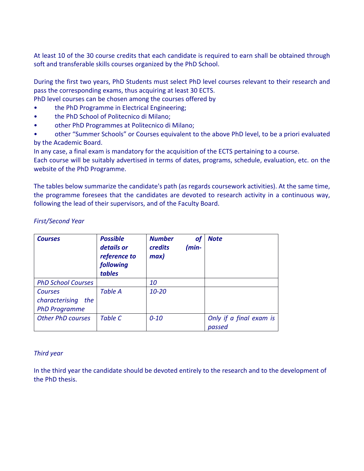At least 10 of the 30 course credits that each candidate is required to earn shall be obtained through soft and transferable skills courses organized by the PhD School.

During the first two years, PhD Students must select PhD level courses relevant to their research and pass the corresponding exams, thus acquiring at least 30 ECTS.

- PhD level courses can be chosen among the courses offered by
- the PhD Programme in Electrical Engineering;
- the PhD School of Politecnico di Milano;
- other PhD Programmes at Politecnico di Milano;
- other "Summer Schools" or Courses equivalent to the above PhD level, to be a priori evaluated by the Academic Board.

In any case, a final exam is mandatory for the acquisition of the ECTS pertaining to a course.

Each course will be suitably advertised in terms of dates, programs, schedule, evaluation, etc. on the website of the PhD Programme.

The tables below summarize the candidate's path (as regards coursework activities). At the same time, the programme foresees that the candidates are devoted to research activity in a continuous way, following the lead of their supervisors, and of the Faculty Board.

| <b>First/Second Year</b> |  |  |  |
|--------------------------|--|--|--|
|--------------------------|--|--|--|

| <b>Courses</b>            | <b>Possible</b><br>details or<br>reference to<br>following<br>tables | <b>Number</b><br>оf<br>(min-<br>credits<br>max | <b>Note</b>                       |
|---------------------------|----------------------------------------------------------------------|------------------------------------------------|-----------------------------------|
| <b>PhD School Courses</b> |                                                                      | 10                                             |                                   |
| <b>Courses</b>            | <b>Table A</b>                                                       | $10 - 20$                                      |                                   |
| characterising<br>the     |                                                                      |                                                |                                   |
| <b>PhD Programme</b>      |                                                                      |                                                |                                   |
| <b>Other PhD courses</b>  | <b>Table C</b>                                                       | $0 - 10$                                       | Only if a final exam is<br>passed |

#### *Third year*

In the third year the candidate should be devoted entirely to the research and to the development of the PhD thesis.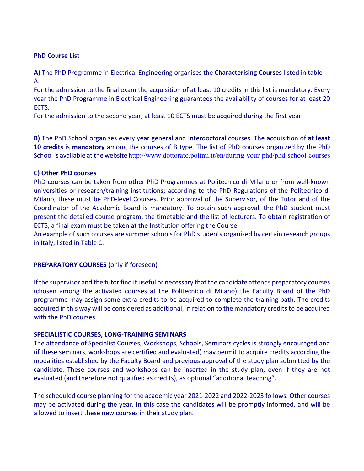#### **PhD Course List**

**A)** The PhD Programme in Electrical Engineering organises the **Characterising Courses** listed in table A.

For the admission to the final exam the acquisition of at least 10 credits in this list is mandatory. Every year the PhD Programme in Electrical Engineering guarantees the availability of courses for at least 20 ECTS.

For the admission to the second year, at least 10 ECTS must be acquired during the first year.

**B)** The PhD School organises every year general and Interdoctoral courses. The acquisition of **at least 10 credits** is **mandatory** among the courses of B type*.* The list of PhD courses organized by the PhD School is available at the website http://www.dottorato.polimi.it/en/during-your-phd/phd-school-courses

#### **C) Other PhD courses**

PhD courses can be taken from other PhD Programmes at Politecnico di Milano or from well-known universities or research/training institutions; according to the PhD Regulations of the Politecnico di Milano, these must be PhD-level Courses. Prior approval of the Supervisor, of the Tutor and of the Coordinator of the Academic Board is mandatory. To obtain such approval, the PhD student must present the detailed course program, the timetable and the list of lecturers. To obtain registration of ECTS, a final exam must be taken at the Institution offering the Course.

An example of such courses are summer schools for PhD students organized by certain research groups in Italy, listed in Table C.

#### **PREPARATORY COURSES** (only if foreseen)

If the supervisor and the tutor find it useful or necessary that the candidate attends preparatory courses (chosen among the activated courses at the Politecnico di Milano) the Faculty Board of the PhD programme may assign some extra-credits to be acquired to complete the training path. The credits acquired in this way will be considered as additional, in relation to the mandatory credits to be acquired with the PhD courses.

#### **SPECIALISTIC COURSES, LONG-TRAINING SEMINARS**

The attendance of Specialist Courses, Workshops, Schools, Seminars cycles is strongly encouraged and (if these seminars, workshops are certified and evaluated) may permit to acquire credits according the modalities established by the Faculty Board and previous approval of the study plan submitted by the candidate. These courses and workshops can be inserted in the study plan, even if they are not evaluated (and therefore not qualified as credits), as optional "additional teaching".

The scheduled course planning for the academic year 2021-2022 and 2022-2023 follows. Other courses may be activated during the year. In this case the candidates will be promptly informed, and will be allowed to insert these new courses in their study plan.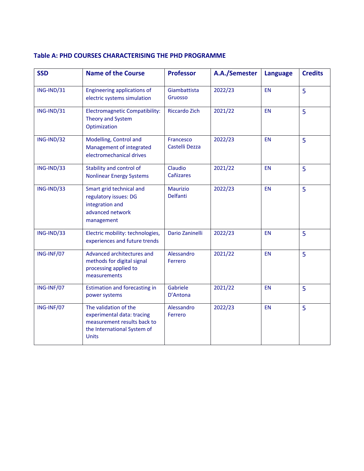#### **Table A: PHD COURSES CHARACTERISING THE PHD PROGRAMME**

| <b>SSD</b> | <b>Name of the Course</b>                                                                                                         | <b>Professor</b>            | A.A./Semester | <b>Language</b> | <b>Credits</b> |
|------------|-----------------------------------------------------------------------------------------------------------------------------------|-----------------------------|---------------|-----------------|----------------|
| ING-IND/31 | <b>Engineering applications of</b><br>electric systems simulation                                                                 | Giambattista<br>Gruosso     | 2022/23       | <b>EN</b>       | 5              |
| ING-IND/31 | <b>Electromagnetic Compatibility:</b><br>Theory and System<br>Optimization                                                        | <b>Riccardo Zich</b>        | 2021/22       | <b>EN</b>       | 5              |
| ING-IND/32 | Modelling, Control and<br>Management of integrated<br>electromechanical drives                                                    | Francesco<br>Castelli Dezza | 2022/23       | <b>EN</b>       | 5              |
| ING-IND/33 | Stability and control of<br><b>Nonlinear Energy Systems</b>                                                                       | Claudio<br>Cañizares        | 2021/22       | <b>EN</b>       | 5              |
| ING-IND/33 | Smart grid technical and<br>regulatory issues: DG<br>integration and<br>advanced network<br>management                            | <b>Maurizio</b><br>Delfanti | 2022/23       | <b>EN</b>       | 5              |
| ING-IND/33 | Electric mobility: technologies,<br>experiences and future trends                                                                 | Dario Zaninelli             | 2022/23       | <b>EN</b>       | 5              |
| ING-INF/07 | Advanced architectures and<br>methods for digital signal<br>processing applied to<br>measurements                                 | Alessandro<br>Ferrero       | 2021/22       | <b>EN</b>       | 5              |
| ING-INF/07 | <b>Estimation and forecasting in</b><br>power systems                                                                             | Gabriele<br>D'Antona        | 2021/22       | <b>EN</b>       | 5              |
| ING-INF/07 | The validation of the<br>experimental data: tracing<br>measurement results back to<br>the International System of<br><b>Units</b> | Alessandro<br>Ferrero       | 2022/23       | <b>EN</b>       | 5              |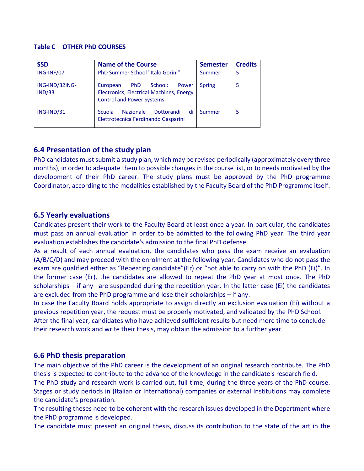#### **Table C OTHER PhD COURSES**

| <b>SSD</b>               | <b>Name of the Course</b>                                                                                           | <b>Semester</b> | <b>Credits</b> |
|--------------------------|---------------------------------------------------------------------------------------------------------------------|-----------------|----------------|
| ING-INF/07               | PhD Summer School "Italo Gorini"                                                                                    | Summer          | 5              |
| ING-IND/32ING-<br>IND/33 | School:<br>PhD<br>European<br>Power<br>Electronics, Electrical Machines, Energy<br><b>Control and Power Systems</b> | <b>Spring</b>   |                |
| ING-IND/31               | di<br><b>Scuola</b><br><b>Nazionale</b><br>Dottorandi<br>Elettrotecnica Ferdinando Gasparini                        | Summer          |                |

#### **6.4 Presentation of the study plan**

PhD candidates must submit a study plan, which may be revised periodically (approximately every three months), in order to adequate them to possible changes in the course list, or to needs motivated by the development of their PhD career. The study plans must be approved by the PhD programme Coordinator, according to the modalities established by the Faculty Board of the PhD Programme itself.

#### **6.5 Yearly evaluations**

Candidates present their work to the Faculty Board at least once a year. In particular, the candidates must pass an annual evaluation in order to be admitted to the following PhD year. The third year evaluation establishes the candidate's admission to the final PhD defense.

As a result of each annual evaluation, the candidates who pass the exam receive an evaluation (A/B/C/D) and may proceed with the enrolment at the following year. Candidates who do not pass the exam are qualified either as "Repeating candidate"(Er) or "not able to carry on with the PhD (Ei)". In the former case (Er), the candidates are allowed to repeat the PhD year at most once. The PhD scholarships – if any –are suspended during the repetition year. In the latter case (Ei) the candidates are excluded from the PhD programme and lose their scholarships – if any.

In case the Faculty Board holds appropriate to assign directly an exclusion evaluation (Ei) without a previous repetition year, the request must be properly motivated, and validated by the PhD School. After the final year, candidates who have achieved sufficient results but need more time to conclude

their research work and write their thesis, may obtain the admission to a further year.

#### **6.6 PhD thesis preparation**

The main objective of the PhD career is the development of an original research contribute. The PhD thesis is expected to contribute to the advance of the knowledge in the candidate's research field.

The PhD study and research work is carried out, full time, during the three years of the PhD course. Stages or study periods in (Italian or International) companies or external Institutions may complete the candidate's preparation.

The resulting theses need to be coherent with the research issues developed in the Department where the PhD programme is developed.

The candidate must present an original thesis, discuss its contribution to the state of the art in the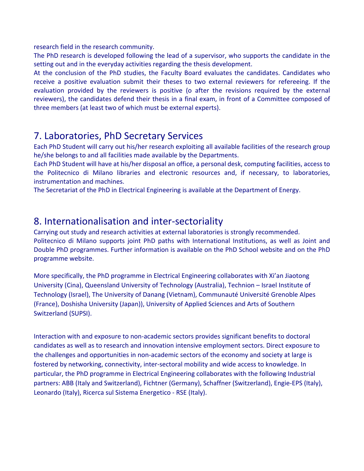research field in the research community.

The PhD research is developed following the lead of a supervisor, who supports the candidate in the setting out and in the everyday activities regarding the thesis development.

At the conclusion of the PhD studies, the Faculty Board evaluates the candidates. Candidates who receive a positive evaluation submit their theses to two external reviewers for refereeing. If the evaluation provided by the reviewers is positive (o after the revisions required by the external reviewers), the candidates defend their thesis in a final exam, in front of a Committee composed of three members (at least two of which must be external experts).

### 7. Laboratories, PhD Secretary Services

Each PhD Student will carry out his/her research exploiting all available facilities of the research group he/she belongs to and all facilities made available by the Departments.

Each PhD Student will have at his/her disposal an office, a personal desk, computing facilities, access to the Politecnico di Milano libraries and electronic resources and, if necessary, to laboratories, instrumentation and machines.

The Secretariat of the PhD in Electrical Engineering is available at the Department of Energy.

### 8. Internationalisation and inter-sectoriality

Carrying out study and research activities at external laboratories is strongly recommended. Politecnico di Milano supports joint PhD paths with International Institutions, as well as Joint and Double PhD programmes. Further information is available on the PhD School website and on the PhD programme website.

More specifically, the PhD programme in Electrical Engineering collaborates with Xi'an Jiaotong University (Cina), Queensland University of Technology (Australia), Technion – Israel Institute of Technology (Israel), The University of Danang (Vietnam), Communauté Université Grenoble Alpes (France), Doshisha University (Japan)), University of Applied Sciences and Arts of Southern Switzerland (SUPSI).

Interaction with and exposure to non-academic sectors provides significant benefits to doctoral candidates as well as to research and innovation intensive employment sectors. Direct exposure to the challenges and opportunities in non-academic sectors of the economy and society at large is fostered by networking, connectivity, inter-sectoral mobility and wide access to knowledge. In particular, the PhD programme in Electrical Engineering collaborates with the following Industrial partners: ABB (Italy and Switzerland), Fichtner (Germany), Schaffner (Switzerland), Engie-EPS (Italy), Leonardo (Italy), Ricerca sul Sistema Energetico - RSE (Italy).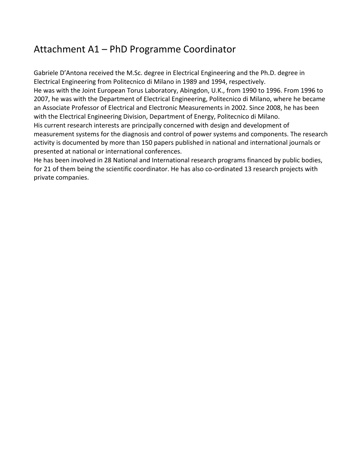## Attachment A1 – PhD Programme Coordinator

Gabriele D'Antona received the M.Sc. degree in Electrical Engineering and the Ph.D. degree in Electrical Engineering from Politecnico di Milano in 1989 and 1994, respectively. He was with the Joint European Torus Laboratory, Abingdon, U.K., from 1990 to 1996. From 1996 to 2007, he was with the Department of Electrical Engineering, Politecnico di Milano, where he became an Associate Professor of Electrical and Electronic Measurements in 2002. Since 2008, he has been with the Electrical Engineering Division, Department of Energy, Politecnico di Milano. His current research interests are principally concerned with design and development of measurement systems for the diagnosis and control of power systems and components. The research activity is documented by more than 150 papers published in national and international journals or presented at national or international conferences.

He has been involved in 28 National and International research programs financed by public bodies, for 21 of them being the scientific coordinator. He has also co-ordinated 13 research projects with private companies.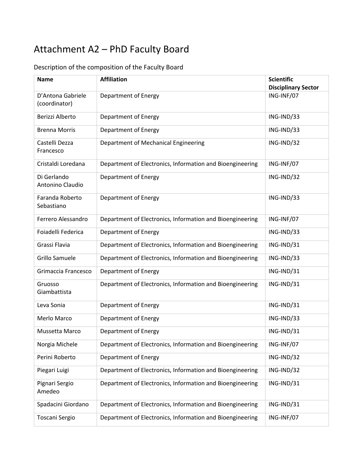# Attachment A2 – PhD Faculty Board

| <b>Name</b>                        | <b>Affiliation</b>                                        | <b>Scientific</b><br><b>Disciplinary Sector</b> |
|------------------------------------|-----------------------------------------------------------|-------------------------------------------------|
| D'Antona Gabriele<br>(coordinator) | Department of Energy                                      | ING-INF/07                                      |
| Berizzi Alberto                    | Department of Energy                                      | ING-IND/33                                      |
| <b>Brenna Morris</b>               | Department of Energy                                      | ING-IND/33                                      |
| Castelli Dezza<br>Francesco        | Department of Mechanical Engineering                      | ING-IND/32                                      |
| Cristaldi Loredana                 | Department of Electronics, Information and Bioengineering | ING-INF/07                                      |
| Di Gerlando<br>Antonino Claudio    | Department of Energy                                      | ING-IND/32                                      |
| Faranda Roberto<br>Sebastiano      | Department of Energy                                      | ING-IND/33                                      |
| Ferrero Alessandro                 | Department of Electronics, Information and Bioengineering | ING-INF/07                                      |
| Foiadelli Federica                 | Department of Energy                                      | ING-IND/33                                      |
| Grassi Flavia                      | Department of Electronics, Information and Bioengineering | ING-IND/31                                      |
| Grillo Samuele                     | Department of Electronics, Information and Bioengineering | ING-IND/33                                      |
| Grimaccia Francesco                | Department of Energy                                      | ING-IND/31                                      |
| Gruosso<br>Giambattista            | Department of Electronics, Information and Bioengineering | ING-IND/31                                      |
| Leva Sonia                         | Department of Energy                                      | ING-IND/31                                      |
| Merlo Marco                        | Department of Energy                                      | ING-IND/33                                      |
| Mussetta Marco                     | Department of Energy                                      | ING-IND/31                                      |
| Norgia Michele                     | Department of Electronics, Information and Bioengineering | ING-INF/07                                      |
| Perini Roberto                     | Department of Energy                                      | ING-IND/32                                      |
| Piegari Luigi                      | Department of Electronics, Information and Bioengineering | ING-IND/32                                      |
| Pignari Sergio<br>Amedeo           | Department of Electronics, Information and Bioengineering | ING-IND/31                                      |
| Spadacini Giordano                 | Department of Electronics, Information and Bioengineering | ING-IND/31                                      |
| Toscani Sergio                     | Department of Electronics, Information and Bioengineering | ING-INF/07                                      |

### Description of the composition of the Faculty Board